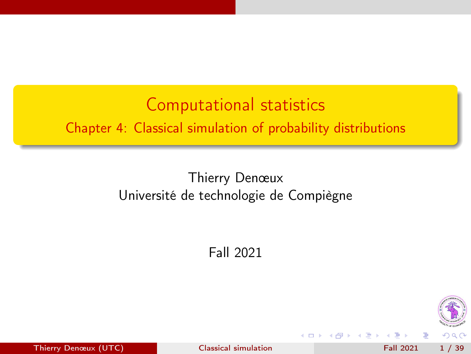<span id="page-0-0"></span>Computational statistics Chapter 4: Classical simulation of probability distributions

> Thierry Denœux Université de technologie de Compiègne

> > Fall 2021



Thierry Denœux (UTC) and [Classical simulation](#page-38-0) Fall 2021 1 / 39

4 **D** F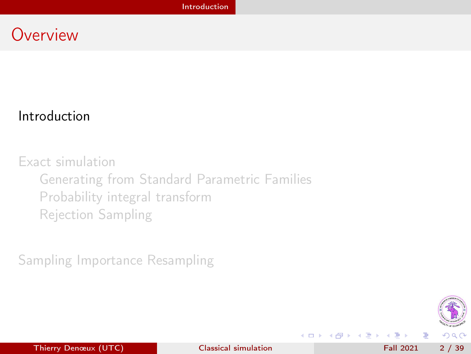### <span id="page-1-0"></span>**Overview**

### [Introduction](#page-1-0)

[Exact simulation](#page-7-0) [Generating from Standard Parametric Families](#page-8-0) [Probability integral transform](#page-12-0) [Rejection Sampling](#page-16-0)

[Sampling Importance Resampling](#page-29-0)



**◆ ロ ▶ → イ 印** 

医氯化医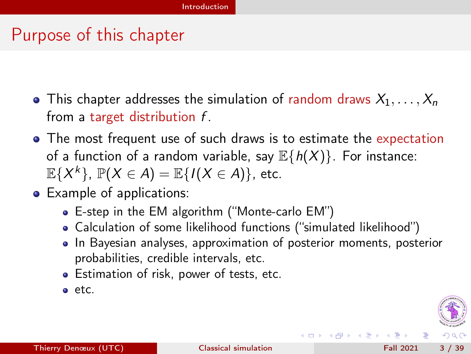### <span id="page-2-0"></span>Purpose of this chapter

- This chapter addresses the simulation of random draws  $X_1, \ldots, X_n$ from a target distribution f.
- The most frequent use of such draws is to estimate the expectation of a function of a random variable, say  $\mathbb{E}{h(X)}$ . For instance:  $\mathbb{E}\{X^k\}$ ,  $\mathbb{P}(X \in A) = \mathbb{E}\{I(X \in A)\}$ , etc.
- Example of applications:
	- E-step in the EM algorithm ("Monte-carlo EM")
	- Calculation of some likelihood functions ("simulated likelihood")
	- In Bayesian analyses, approximation of posterior moments, posterior probabilities, credible intervals, etc.

**← ロ → → イ何 →** 

- Estimation of risk, power of tests, etc.
- etc.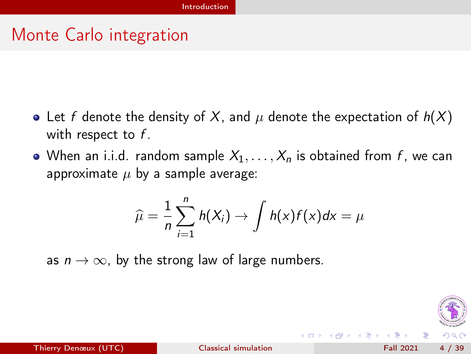### <span id="page-3-0"></span>Monte Carlo integration

- Let f denote the density of X, and  $\mu$  denote the expectation of  $h(X)$ with respect to  $f$ .
- When an i.i.d. random sample  $X_1, \ldots, X_n$  is obtained from f, we can approximate  $\mu$  by a sample average:

$$
\widehat{\mu} = \frac{1}{n} \sum_{i=1}^{n} h(X_i) \rightarrow \int h(x) f(x) dx = \mu
$$

as  $n \to \infty$ , by the strong law of large numbers.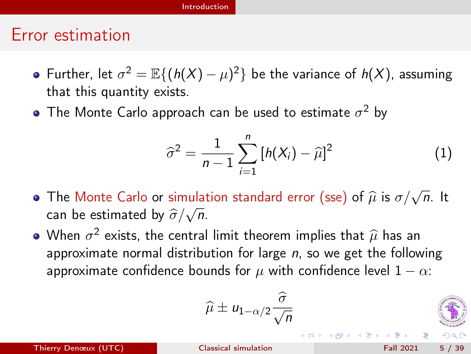### [Introduction](#page-4-0)

### <span id="page-4-0"></span>Error estimation

- Further, let  $\sigma^2 = \mathbb{E}\{(h(X) \mu)^2\}$  be the variance of  $h(X)$ , assuming that this quantity exists.
- The Monte Carlo approach can be used to estimate  $\sigma^2$  by

$$
\widehat{\sigma}^2 = \frac{1}{n-1} \sum_{i=1}^n \left[ h(X_i) - \widehat{\mu} \right]^2
$$
 (1)

**←ロト→何ト** 

- The Monte Carlo or simulation standard error (sse) of  $\hat{\mu}$  is  $\sigma/\sqrt{n}$ . It can be estimated by  $\widehat{\sigma}/\sqrt{n}$ .
- When  $\sigma^2$  exists, the central limit theorem implies that  $\hat{\mu}$  has an annoximate nermal distribution for large n so we get the follow approximate normal distribution for large  $n$ , so we get the following approximate confidence bounds for  $\mu$  with confidence level  $1 - \alpha$ :

$$
\widehat{\mu} \pm u_{1-\alpha/2} \frac{\widehat{\sigma}}{\sqrt{n}}
$$

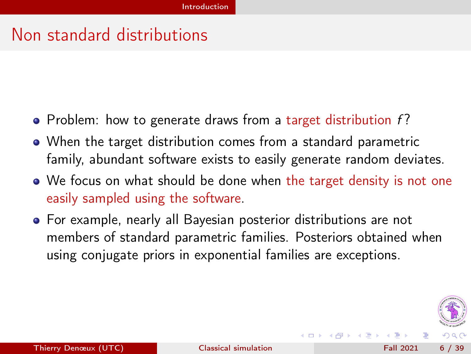### <span id="page-5-0"></span>Non standard distributions

- Problem: how to generate draws from a target distribution  $f$ ?
- When the target distribution comes from a standard parametric family, abundant software exists to easily generate random deviates.
- We focus on what should be done when the target density is not one easily sampled using the software.
- For example, nearly all Bayesian posterior distributions are not members of standard parametric families. Posteriors obtained when using conjugate priors in exponential families are exceptions.



(□ ) (f)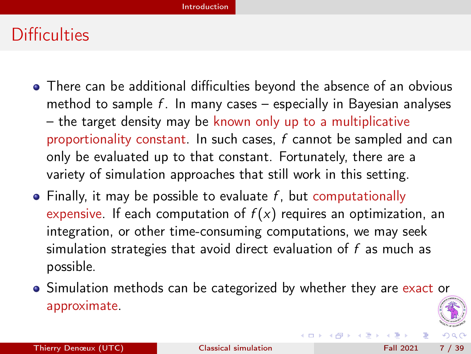### <span id="page-6-0"></span>**Difficulties**

- There can be additional difficulties beyond the absence of an obvious method to sample  $f$ . In many cases – especially in Bayesian analyses – the target density may be known only up to a multiplicative proportionality constant. In such cases, f cannot be sampled and can only be evaluated up to that constant. Fortunately, there are a variety of simulation approaches that still work in this setting.
- $\bullet$  Finally, it may be possible to evaluate f, but computationally expensive. If each computation of  $f(x)$  requires an optimization, an integration, or other time-consuming computations, we may seek simulation strategies that avoid direct evaluation of f as much as possible.
- Simulation methods can be categorized by whether they are exact or approximate.

(□ ) (母 )

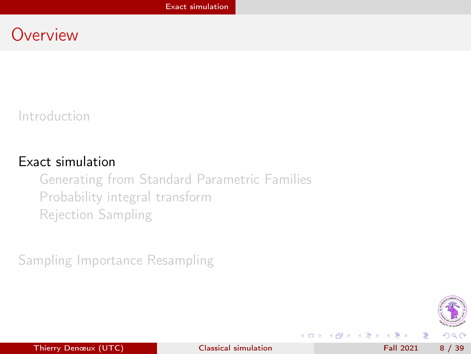### <span id="page-7-0"></span>**Overview**

[Introduction](#page-1-0)

### [Exact simulation](#page-7-0)

[Generating from Standard Parametric Families](#page-8-0) [Probability integral transform](#page-12-0) [Rejection Sampling](#page-16-0)

[Sampling Importance Resampling](#page-29-0)



э

**◆ ロ ▶ → イ 印** 

**Box** 41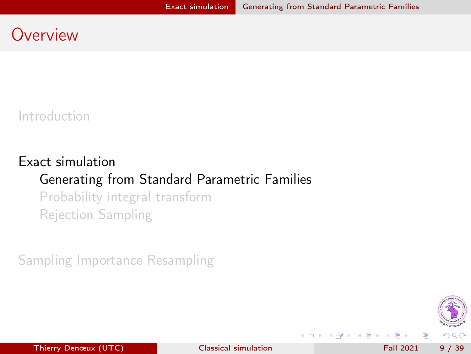### <span id="page-8-0"></span>**Overview**

[Introduction](#page-1-0)

### [Exact simulation](#page-7-0) [Generating from Standard Parametric Families](#page-8-0) [Probability integral transform](#page-12-0)

[Rejection Sampling](#page-16-0)

[Sampling Importance Resampling](#page-29-0)



**◆ ロ ▶ → イ 印** 

Box 4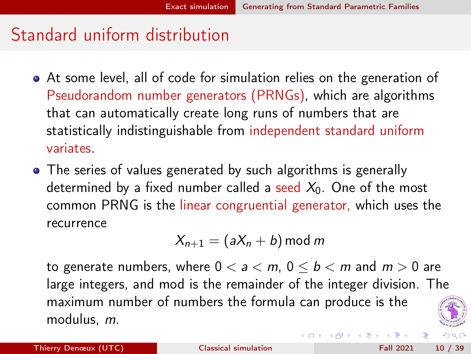### <span id="page-9-0"></span>Standard uniform distribution

- At some level, all of code for simulation relies on the generation of Pseudorandom number generators (PRNGs), which are algorithms that can automatically create long runs of numbers that are statistically indistinguishable from independent standard uniform variates.
- The series of values generated by such algorithms is generally determined by a fixed number called a seed  $X_0$ . One of the most common PRNG is the linear congruential generator, which uses the recurrence

$$
X_{n+1} = (aX_n + b) \mod m
$$

to generate numbers, where  $0 < a < m$ ,  $0 \le b < m$  and  $m > 0$  are large integers, and mod is the remainder of the integer division. The maximum number of numbers the formula can produce is the modulus, m.



**K ロ ト K 何 ト K ヨ ト K** 

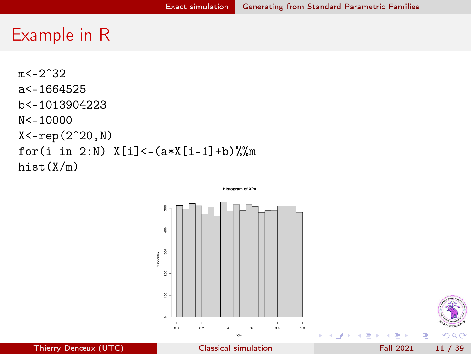### <span id="page-10-0"></span>Example in R

 $m < -2^332$ a<-1664525 b<-1013904223 N<-10000  $X < -rep(2^20, N)$ for(i in 2:N)  $X[i] < -(\frac{a*X[i-1]+b)\%}{m}$ hist(X/m)

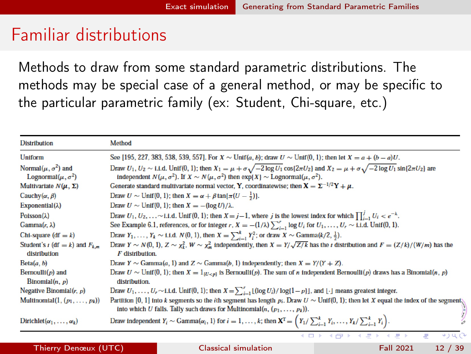### <span id="page-11-0"></span>Familiar distributions

Methods to draw from some standard parametric distributions. The methods may be special case of a general method, or may be specific to the particular parametric family (ex: Student, Chi-square, etc.)

| <b>Distribution</b>                                         | Method                                                                                                                                                                                                                                                                                      |
|-------------------------------------------------------------|---------------------------------------------------------------------------------------------------------------------------------------------------------------------------------------------------------------------------------------------------------------------------------------------|
| Uniform                                                     | See [195, 227, 383, 538, 539, 557]. For $X \sim \text{Unif}(a, b)$ ; draw $U \sim \text{Unif}(0, 1)$ ; then let $X = a + (b - a)U$ .                                                                                                                                                        |
| Normal $(\mu, \sigma^2)$ and<br>Lognormal $(\mu, \sigma^2)$ | Draw $U_1, U_2 \sim$ i.i.d. Unif(0, 1); then $X_1 = \mu + \sigma \sqrt{-2 \log U_1 \cos(2\pi U_2)}$ and $X_2 = \mu + \sigma \sqrt{-2 \log U_1 \sin(2\pi U_2)}$ are<br>independent $N(\mu, \sigma^2)$ . If $X \sim N(\mu, \sigma^2)$ then $\exp\{X\} \sim \text{Lognormal}(\mu, \sigma^2)$ . |
| Multivariate $N(\mu, \Sigma)$                               | Generate standard multivariate normal vector, Y, coordinatewise; then $X = \Sigma^{-1/2}Y + \mu$ .                                                                                                                                                                                          |
| Cauchy $(\alpha, \beta)$                                    | Draw $U \sim \text{Unif}(0, 1)$ ; then $X = \alpha + \beta \tan{\pi(U - \frac{1}{2})}$ .                                                                                                                                                                                                    |
| Exponential( $\lambda$ )                                    | Draw $U \sim$ Unif(0, 1); then $X = -(\log U)/\lambda$ .                                                                                                                                                                                                                                    |
| Poisson( $\lambda$ )                                        | Draw $U_1, U_2, \ldots \sim 1.1.$ d. Unif $(0, 1)$ ; then $X = j - 1$ , where j is the lowest index for which $\prod_{i=1}^{j} U_i < e^{-\lambda}$ .                                                                                                                                        |
| $Gamma(r, \lambda)$                                         | See Example 6.1, references, or for integer r, $X = -(1/\lambda) \sum_{i=1}^{r} \log U_i$ for $U_1, \ldots, U_r \sim$ i.i.d. Unif(0, 1).                                                                                                                                                    |
| Chi-square $(df = k)$                                       | Draw $Y_1, , Y_k \sim 1.1$ d. $N(0, 1)$ , then $X = \sum_{i=1}^k Y_i^2$ ; or draw $X \sim \text{Gamma}(k/2, \frac{1}{2})$ .                                                                                                                                                                 |
| Student's $t$ (df = k) and $F_{k,m}$<br>distribution        | Draw $Y \sim N(0, 1)$ , $Z \sim \chi^2$ , $W \sim \chi^2$ , independently, then $X = Y/\sqrt{Z/k}$ has the t distribution and $F = (Z/k)/(W/m)$ has the<br>F distribution.                                                                                                                  |
| Beta(a, b)                                                  | Draw $Y \sim$ Gamma(a, 1) and $Z \sim$ Gamma(b, 1) independently; then $X = Y/(Y + Z)$ .                                                                                                                                                                                                    |
| Bernoulli $(p)$ and<br>Binomial $(n, p)$                    | Draw $U \sim \text{Unif}(0, 1)$ ; then $X = 1_{\{U < p\}}$ is Bernoulli(p). The sum of n independent Bernoulli(p) draws has a Binomial(n, p)<br>distribution.                                                                                                                               |
| Negative Binomial $(r, p)$                                  | Draw $U_1, \ldots, U_r \sim 1.1$ .d. Unif(0, 1); then $X = \sum_{i=1}^r \lfloor (\log U_i)/\log(1-p) \rfloor$ , and $\lfloor \cdot \rfloor$ means greatest integer.                                                                                                                         |
| Multinomial $(1, (p_1, \ldots, p_k))$                       | Partition [0, 1] into k segments so the <i>i</i> th segment has length $p_i$ . Draw $U \sim \text{Unif}(0, 1)$ ; then let X equal the index of the segment<br>into which U falls. Tally such draws for Multinomial(n, $(p_1, \ldots, p_k)$ ).                                               |
| $Dirichlet(\alpha_1, \ldots, \alpha_k)$                     | Draw independent $Y_i \sim \text{Gamma}(\alpha_i, 1)$ for $i = 1, , k$ ; then $\mathbf{X}^{\text{T}} = \left(Y_1 / \sum_{i=1}^k Y_i, , Y_k / \sum_{i=1}^k Y_i\right)$ .                                                                                                                     |

Thierry Denœux (UTC) [Classical simulation](#page-0-0) Fall 2021 12 / 39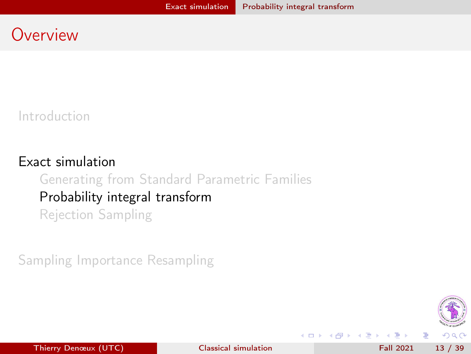### <span id="page-12-0"></span>**Overview**

[Introduction](#page-1-0)

### [Exact simulation](#page-7-0) [Generating from Standard Parametric Families](#page-8-0) [Probability integral transform](#page-12-0) [Rejection Sampling](#page-16-0)

[Sampling Importance Resampling](#page-29-0)





**◆ ロ ▶ → イ 印** 

э

医下环医下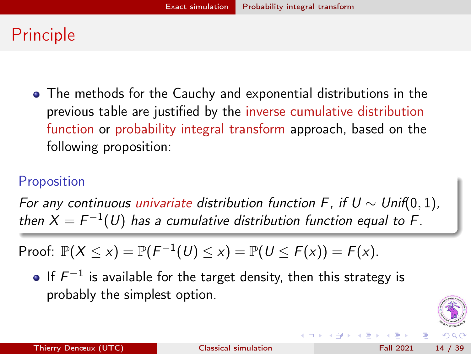## <span id="page-13-0"></span>Principle

The methods for the Cauchy and exponential distributions in the previous table are justified by the inverse cumulative distribution function or probability integral transform approach, based on the following proposition:

### Proposition

For any continuous univariate distribution function F, if  $U \sim Unif(0, 1)$ , then  $X = F^{-1}(U)$  has a cumulative distribution function equal to F.

Proof: 
$$
\mathbb{P}(X \le x) = \mathbb{P}(F^{-1}(U) \le x) = \mathbb{P}(U \le F(x)) = F(x)
$$
.

If  $F^{-1}$  is available for the target density, then this strategy is probably the simplest option.



**← ロ → → イ何 →**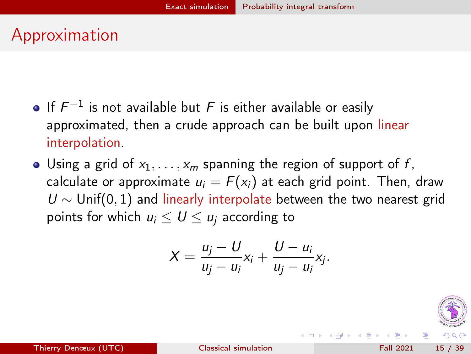## <span id="page-14-0"></span>Approximation

- If  $F^{-1}$  is not available but F is either available or easily approximated, then a crude approach can be built upon linear interpolation.
- Using a grid of  $x_1, \ldots, x_m$  spanning the region of support of f, calculate or approximate  $u_i = F(x_i)$  at each grid point. Then, draw  $U \sim$  Unif(0, 1) and linearly interpolate between the two nearest grid points for which  $u_i \leq U \leq u_i$  according to

$$
X=\frac{u_j-U}{u_j-u_i}x_i+\frac{U-u_i}{u_j-u_i}x_j.
$$



**K ロ ト K 何 ト K ヨ ト K**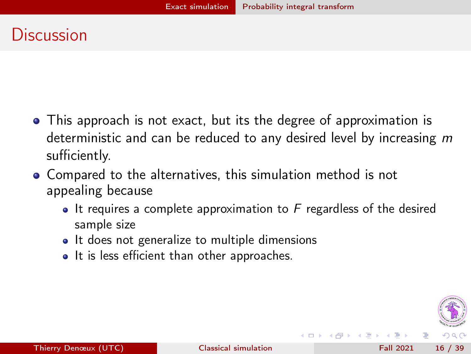### <span id="page-15-0"></span>**Discussion**

- This approach is not exact, but its the degree of approximation is deterministic and can be reduced to any desired level by increasing m sufficiently.
- Compared to the alternatives, this simulation method is not appealing because
	- $\bullet$  It requires a complete approximation to F regardless of the desired sample size
	- It does not generalize to multiple dimensions
	- It is less efficient than other approaches.

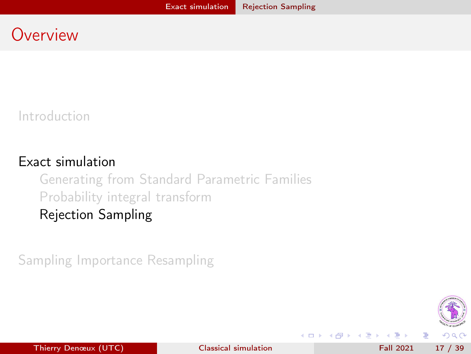### <span id="page-16-0"></span>**Overview**

[Introduction](#page-1-0)

### [Exact simulation](#page-7-0)

[Generating from Standard Parametric Families](#page-8-0) [Probability integral transform](#page-12-0) [Rejection Sampling](#page-16-0)

[Sampling Importance Resampling](#page-29-0)



Thierry Denœux (UTC) [Classical simulation](#page-0-0) Fall 2021 17 / 39

**◆ ロ ▶ → イ 印** 

э

医下环医下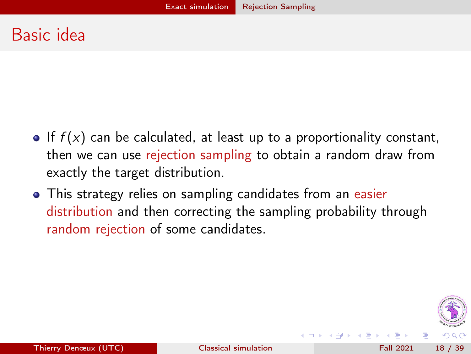### <span id="page-17-0"></span>Basic idea

- If  $f(x)$  can be calculated, at least up to a proportionality constant, then we can use rejection sampling to obtain a random draw from exactly the target distribution.
- This strategy relies on sampling candidates from an easier distribution and then correcting the sampling probability through random rejection of some candidates.

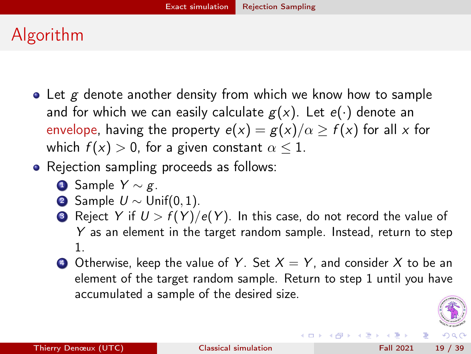# <span id="page-18-0"></span>Algorithm

- $\bullet$  Let g denote another density from which we know how to sample and for which we can easily calculate  $g(x)$ . Let  $e(\cdot)$  denote an envelope, having the property  $e(x) = g(x)/\alpha \ge f(x)$  for all x for which  $f(x) > 0$ , for a given constant  $\alpha \leq 1$ .
- Rejection sampling proceeds as follows:
	- **4** Sample  $Y \sim g$ .
	- **2** Sample  $U \sim$  Unif(0, 1).
	- **3** Reject Y if  $U > f(Y)/e(Y)$ . In this case, do not record the value of Y as an element in the target random sample. Instead, return to step 1.
	- **4** Otherwise, keep the value of Y. Set  $X = Y$ , and consider X to be an element of the target random sample. Return to step 1 until you have accumulated a sample of the desired size.



イロト イ押ト イヨト イヨト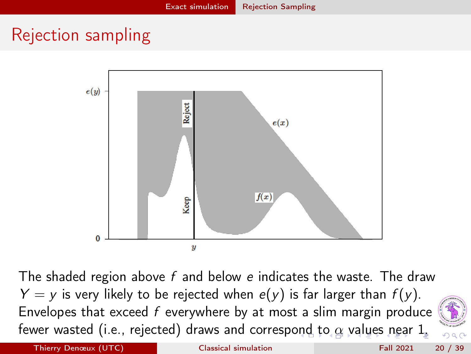## <span id="page-19-0"></span>Rejection sampling



The shaded region above  $f$  and below  $e$  indicates the waste. The draw  $Y = y$  is very likely to be rejected when  $e(y)$  is far larger than  $f(y)$ . Envelopes that exceed  $f$  everywhere by at most a slim margin produce fewer wasted (i.e., rejected) draws and corresp[ond](#page-18-0) [t](#page-20-0)[o](#page-18-0) $\alpha$  $\alpha$  $\alpha$  [v](#page-20-0)a[lu](#page-16-0)[es](#page-29-0) [n](#page-7-0)[e](#page-28-0)[ar](#page-29-0) [1](#page-0-0)[.](#page-38-0)

Thierry Denœux (UTC) [Classical simulation](#page-0-0) Fall 2021 20 / 39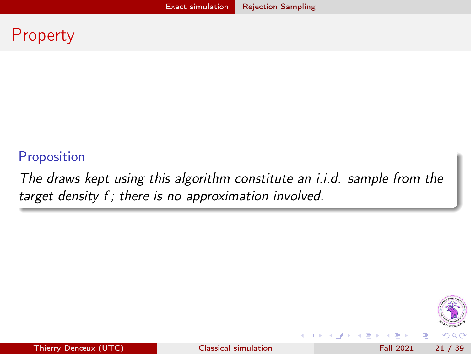### <span id="page-20-0"></span>Property

### Proposition

The draws kept using this algorithm constitute an i.i.d. sample from the target density f; there is no approximation involved.



э

Thierry Denœux (UTC) **[Classical simulation](#page-0-0)** Fall 2021 21 / 39

4 0 8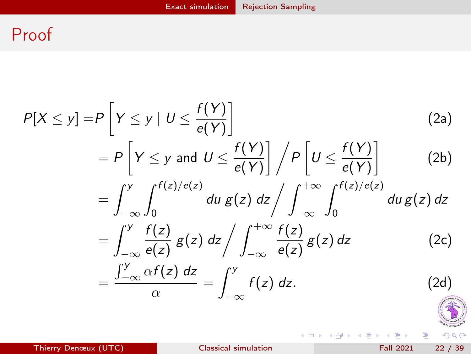### <span id="page-21-0"></span>Proof

<span id="page-21-1"></span>
$$
P[X \le y] = P\left[Y \le y \mid U \le \frac{f(Y)}{e(Y)}\right]
$$
\n
$$
= P\left[Y \le y \text{ and } U \le \frac{f(Y)}{e(Y)}\right] / P\left[U \le \frac{f(Y)}{e(Y)}\right]
$$
\n
$$
= \int_{-\infty}^{y} \int_{0}^{f(z)/e(z)} du \, g(z) \, dz / \int_{-\infty}^{+\infty} \int_{0}^{f(z)/e(z)} du \, g(z) \, dz
$$
\n
$$
= \int_{-\infty}^{y} \frac{f(z)}{e(z)} g(z) \, dz / \int_{-\infty}^{+\infty} \frac{f(z)}{e(z)} g(z) \, dz \qquad (2c)
$$
\n
$$
= \frac{\int_{-\infty}^{y} \alpha f(z) \, dz}{\alpha} = \int_{-\infty}^{y} f(z) \, dz. \qquad (2d)
$$

重

イロト イ部 トメ ヨト メ ヨト

 $299$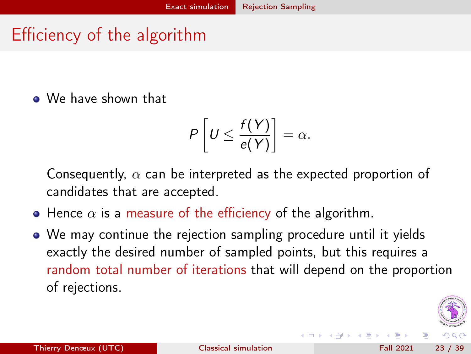## <span id="page-22-0"></span>Efficiency of the algorithm

We have shown that

$$
P\left[U\leq \frac{f(Y)}{e(Y)}\right]=\alpha.
$$

Consequently,  $\alpha$  can be interpreted as the expected proportion of candidates that are accepted.

- Hence  $\alpha$  is a measure of the efficiency of the algorithm.
- We may continue the rejection sampling procedure until it yields exactly the desired number of sampled points, but this requires a random total number of iterations that will depend on the proportion of rejections.

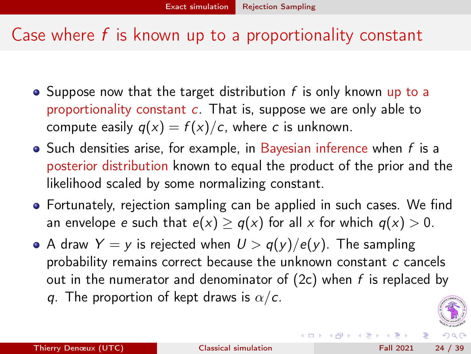### <span id="page-23-0"></span>Case where  $f$  is known up to a proportionality constant

- Suppose now that the target distribution  $f$  is only known up to a proportionality constant  $c$ . That is, suppose we are only able to compute easily  $q(x) = f(x)/c$ , where c is unknown.
- $\bullet$  Such densities arise, for example, in Bayesian inference when  $f$  is a posterior distribution known to equal the product of the prior and the likelihood scaled by some normalizing constant.
- Fortunately, rejection sampling can be applied in such cases. We find an envelope e such that  $e(x) \geq q(x)$  for all x for which  $q(x) > 0$ .
- A draw  $Y = y$  is rejected when  $U > q(y)/e(y)$ . The sampling probability remains correct because the unknown constant c cancels out in the numerator and denominator of  $(2c)$  when f is replaced by q. The proportion of kept draws is  $\alpha/c$ .



**(ロト イ母) イヨト イ**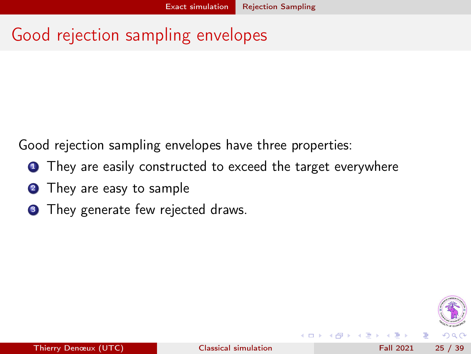## <span id="page-24-0"></span>Good rejection sampling envelopes

Good rejection sampling envelopes have three properties:

- **1** They are easily constructed to exceed the target everywhere
- **2** They are easy to sample
- **3** They generate few rejected draws.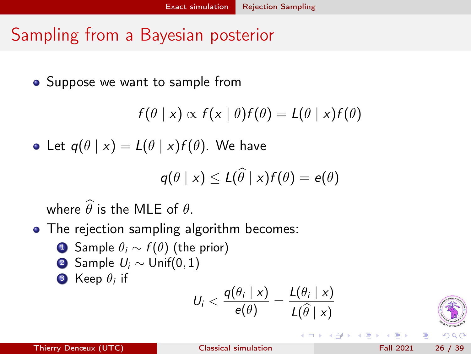## <span id="page-25-0"></span>Sampling from a Bayesian posterior

• Suppose we want to sample from

$$
f(\theta | x) \propto f(x | \theta) f(\theta) = L(\theta | x) f(\theta)
$$

• Let  $q(\theta | x) = L(\theta | x) f(\theta)$ . We have

$$
q(\theta | x) \leq L(\widehat{\theta} | x) f(\theta) = e(\theta)
$$

where  $\widehat{\theta}$  is the MLE of  $\theta$ .

- The rejection sampling algorithm becomes:
	- **1** Sample  $\theta_i \sim f(\theta)$  (the prior)
	- 2 Sample  $U_i \sim$  Unif(0, 1)

3 Keep  $\theta_i$  if

$$
U_i < \frac{q(\theta_i \mid x)}{e(\theta)} = \frac{L(\theta_i \mid x)}{L(\widehat{\theta} \mid x)}
$$

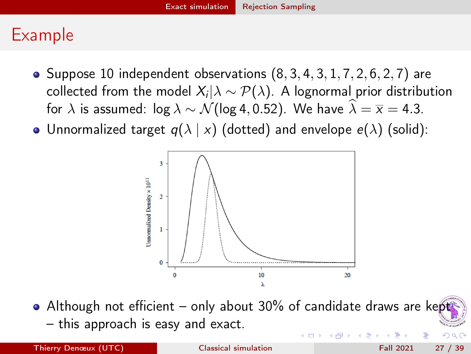### <span id="page-26-0"></span>Example

- Suppose 10 independent observations  $(8, 3, 4, 3, 1, 7, 2, 6, 2, 7)$  are collected from the model  $X_i|\lambda \sim \mathcal{P}(\lambda).$  A lognormal prior distribution for  $\lambda$  is assumed:  $\log \lambda \sim \mathcal{N}$ (log 4, 0.52). We have  $\widehat{\lambda} = \overline{x} = 4.3$ .
- Unnormalized target  $q(\lambda | x)$  (dotted) and envelope  $e(\lambda)$  (solid):



Although not efficient – only about 30% of candidate draws are kept – this approach is easy and exact.  $Q \cap$ 

Thierry Denœux (UTC) [Classical simulation](#page-0-0) Fall 2021 27 / 39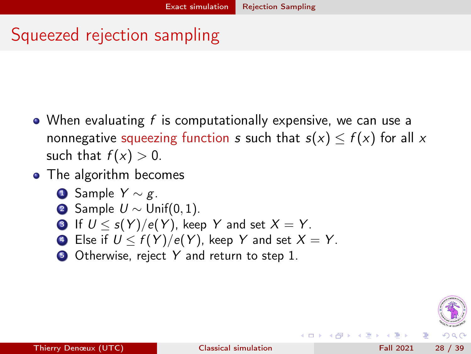### <span id="page-27-0"></span>Squeezed rejection sampling

- When evaluating  $f$  is computationally expensive, we can use a nonnegative squeezing function s such that  $s(x) \le f(x)$  for all x such that  $f(x) > 0$ .
- The algorithm becomes
	- **4** Sample  $Y \sim g$ .
	- **2** Sample  $U \sim$  Unif(0, 1).
	- **3** If  $U < s(Y)/e(Y)$ , keep Y and set  $X = Y$ .
	- 4 Else if  $U \leq f(Y)/e(Y)$ , keep Y and set  $X = Y$ .
	- **5** Otherwise, reject Y and return to step 1.

(□ ) (母 )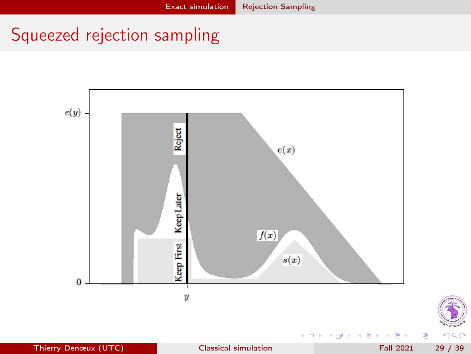# <span id="page-28-0"></span>Squeezed rejection sampling



É

 $299$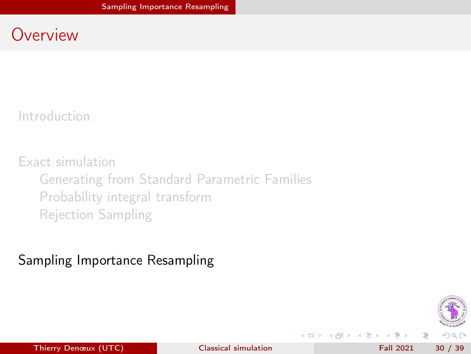### <span id="page-29-0"></span>**Overview**

[Introduction](#page-1-0)

[Exact simulation](#page-7-0) [Generating from Standard Parametric Families](#page-8-0) [Probability integral transform](#page-12-0) [Rejection Sampling](#page-16-0)

### [Sampling Importance Resampling](#page-29-0)



э

Thierry Denœux (UTC) and [Classical simulation](#page-0-0) Fall 2021 30 / 39

**◆ ロ ▶ → イ 印** 

医下环医下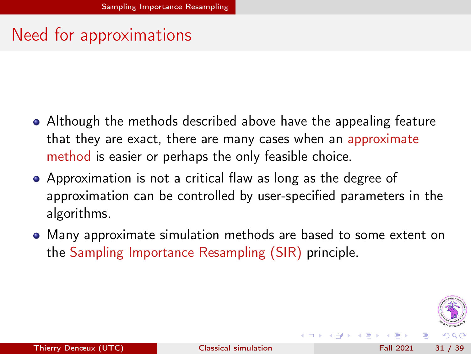### <span id="page-30-0"></span>Need for approximations

- Although the methods described above have the appealing feature that they are exact, there are many cases when an approximate method is easier or perhaps the only feasible choice.
- Approximation is not a critical flaw as long as the degree of approximation can be controlled by user-specified parameters in the algorithms.
- Many approximate simulation methods are based to some extent on the Sampling Importance Resampling (SIR) principle.



(□ ) (f)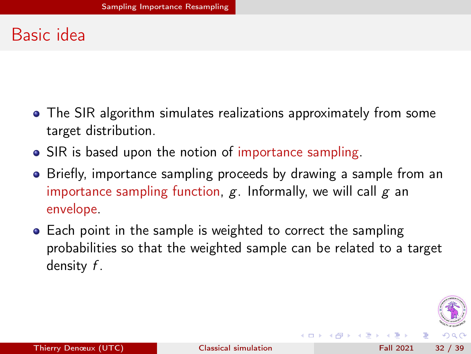## <span id="page-31-0"></span>Basic idea

- The SIR algorithm simulates realizations approximately from some target distribution.
- SIR is based upon the notion of importance sampling.
- Briefly, importance sampling proceeds by drawing a sample from an importance sampling function,  $g$ . Informally, we will call  $g$  an envelope.
- Each point in the sample is weighted to correct the sampling probabilities so that the weighted sample can be related to a target density f .



(□ ) (f)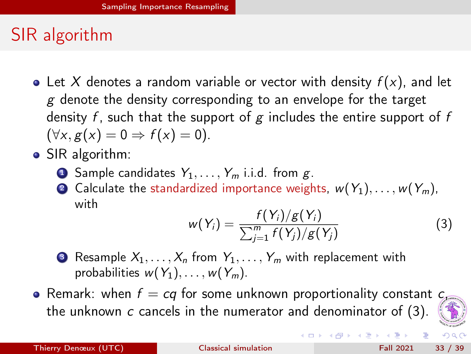## <span id="page-32-0"></span>SIR algorithm

- Let X denotes a random variable or vector with density  $f(x)$ , and let  $g$  denote the density corresponding to an envelope for the target density  $f$ , such that the support of  $g$  includes the entire support of  $f$  $(\forall x, g(x) = 0 \Rightarrow f(x) = 0).$
- SIR algorithm:
	- **1** Sample candidates  $Y_1, \ldots, Y_m$  i.i.d. from g.
	- 2 Calculate the standardized importance weights,  $w(Y_1), \ldots, w(Y_m)$ , with

<span id="page-32-1"></span>
$$
w(Y_i) = \frac{f(Y_i)/g(Y_i)}{\sum_{j=1}^{m} f(Y_j)/g(Y_j)}
$$
(3)

 $($  ロ )  $($   $($  $)$   $)$   $($   $)$   $($   $)$   $($   $)$   $($   $)$   $($   $)$   $($   $)$   $($   $)$   $($   $)$   $($   $)$   $($   $)$   $($   $)$   $($   $)$   $($   $)$   $($   $)$   $($   $)$   $($   $)$   $($   $)$   $($   $)$   $($   $)$   $($   $)$   $($   $)$   $($   $)$   $($   $)$   $($   $)$   $($   $)$ 

- **3** Resample  $X_1, \ldots, X_n$  from  $Y_1, \ldots, Y_m$  with replacement with probabilities  $w(Y_1), \ldots, w(Y_m)$ .
- Remark: when  $f = cq$  for some unknown proportionality constant  $c<sub>s</sub>$ the unknown  $c$  cancels in the numerator and denominator of  $(3)$ .



э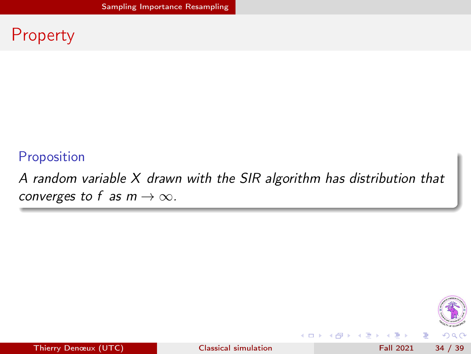### <span id="page-33-0"></span>Property

### Proposition

A random variable X drawn with the SIR algorithm has distribution that converges to f as  $m \to \infty$ .



э

Thierry Denœux (UTC) [Classical simulation](#page-0-0) Fall 2021 34 / 39

4 0 8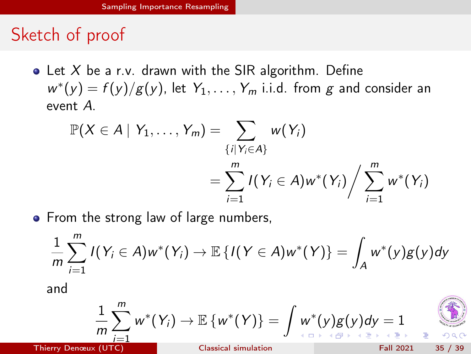### <span id="page-34-0"></span>Sketch of proof

• Let X be a r.v. drawn with the SIR algorithm. Define  $w^*(y) = f(y)/g(y)$ , let  $Y_1, \ldots, Y_m$  i.i.d. from g and consider an event A.

$$
\mathbb{P}(X \in A \mid Y_1, \ldots, Y_m) = \sum_{\{i \mid Y_i \in A\}} w(Y_i)
$$
  
= 
$$
\sum_{i=1}^m I(Y_i \in A)w^*(Y_i) / \sum_{i=1}^m w^*(Y_i)
$$

• From the strong law of large numbers,

$$
\frac{1}{m}\sum_{i=1}^m I(Y_i \in A)w^*(Y_i) \to \mathbb{E}\left\{I(Y \in A)w^*(Y)\right\} = \int_A w^*(y)g(y)dy
$$

and

$$
\frac{1}{m}\sum_{i=1}^m w^*(Y_i) \to \mathbb{E}\left\{w^*(Y)\right\} = \int w^*(y)g(y)dy = 1
$$

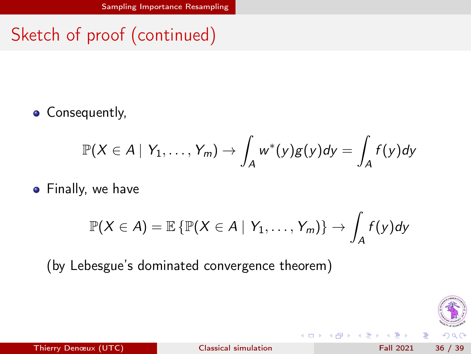# <span id="page-35-0"></span>Sketch of proof (continued)

• Consequently,

$$
\mathbb{P}(X \in A \mid Y_1, \ldots, Y_m) \to \int_A w^*(y)g(y)dy = \int_A f(y)dy
$$

**•** Finally, we have

$$
\mathbb{P}(X \in A) = \mathbb{E} \left\{ \mathbb{P}(X \in A \mid Y_1, \ldots, Y_m) \right\} \rightarrow \int_A f(y) dy
$$

(by Lebesgue's dominated convergence theorem)



э

 $\lambda$ 

不自下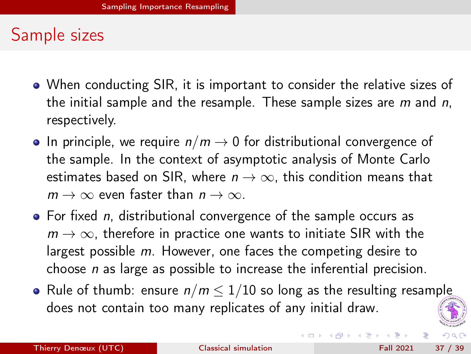### <span id="page-36-0"></span>Sample sizes

- When conducting SIR, it is important to consider the relative sizes of the initial sample and the resample. These sample sizes are  $m$  and  $n$ , respectively.
- In principle, we require  $n/m \rightarrow 0$  for distributional convergence of the sample. In the context of asymptotic analysis of Monte Carlo estimates based on SIR, where  $n \to \infty$ , this condition means that  $m \to \infty$  even faster than  $n \to \infty$ .
- $\bullet$  For fixed *n*, distributional convergence of the sample occurs as  $m \to \infty$ , therefore in practice one wants to initiate SIR with the largest possible m. However, one faces the competing desire to choose  $n$  as large as possible to increase the inferential precision.
- Rule of thumb: ensure  $n/m \leq 1/10$  so long as the resulting resample does not contain too many replicates of any initial draw.



(□ ) (母 )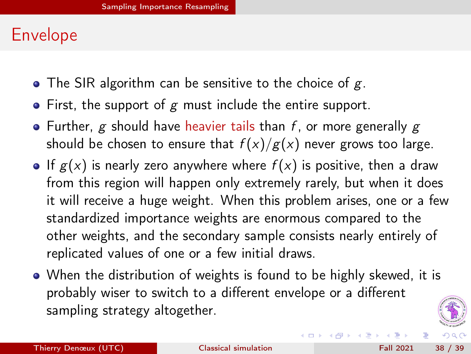### <span id="page-37-0"></span>Envelope

- The SIR algorithm can be sensitive to the choice of  $g$ .
- $\bullet$  First, the support of g must include the entire support.
- Further, g should have heavier tails than f, or more generally g should be chosen to ensure that  $f(x)/g(x)$  never grows too large.
- If  $g(x)$  is nearly zero anywhere where  $f(x)$  is positive, then a draw from this region will happen only extremely rarely, but when it does it will receive a huge weight. When this problem arises, one or a few standardized importance weights are enormous compared to the other weights, and the secondary sample consists nearly entirely of replicated values of one or a few initial draws.
- When the distribution of weights is found to be highly skewed, it is probably wiser to switch to a different envelope or a different sampling strategy altogether.



**K ロ ▶ | K 伺 ▶ | K ヨ ▶**